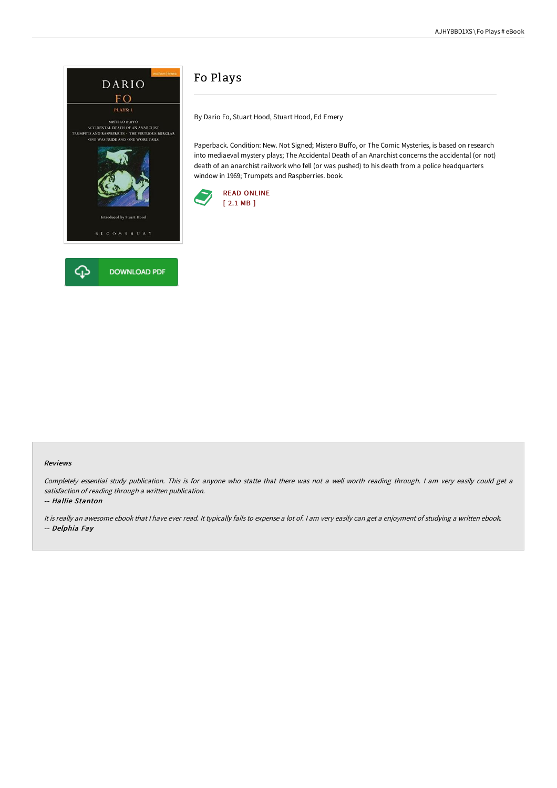

## Fo Plays

By Dario Fo, Stuart Hood, Stuart Hood, Ed Emery

Paperback. Condition: New. Not Signed; Mistero Buffo, or The Comic Mysteries, is based on research into mediaeval mystery plays; The Accidental Death of an Anarchist concerns the accidental (or not) death of an anarchist railwork who fell (or was pushed) to his death from a police headquarters window in 1969; Trumpets and Raspberries. book.



## Reviews

Completely essential study publication. This is for anyone who statte that there was not <sup>a</sup> well worth reading through. <sup>I</sup> am very easily could get <sup>a</sup> satisfaction of reading through <sup>a</sup> written publication.

-- Hallie Stanton

It is really an awesome ebook that <sup>I</sup> have ever read. It typically fails to expense <sup>a</sup> lot of. <sup>I</sup> am very easily can get <sup>a</sup> enjoyment of studying <sup>a</sup> written ebook. -- Delphia Fay